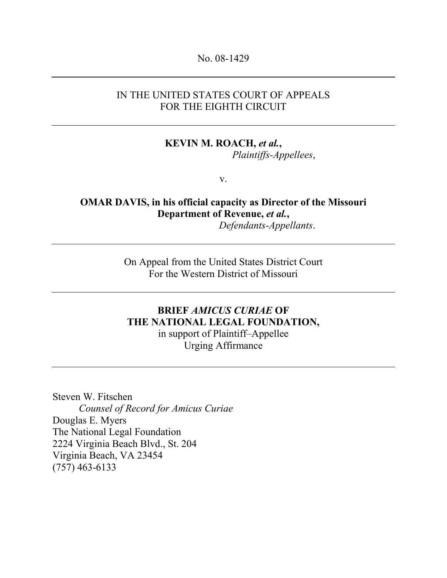#### No. 08-1429

#### IN THE UNITED STATES COURT OF APPEALS FOR THE EIGHTH CIRCUIT

# KEVIN M. ROACH, et al.,

Plaintiffs-Appellees,

v.

#### OMAR DAVIS, in his official capacity as Director of the Missouri Department of Revenue, et al., Defendants-Appellants.

On Appeal from the United States District Court For the Western District of Missouri

## BRIEF AMICUS CURIAE OF THE NATIONAL LEGAL FOUNDATION,

in support of Plaintiff–Appellee Urging Affirmance

Steven W. Fitschen Counsel of Record for Amicus Curiae Douglas E. Myers The National Legal Foundation 2224 Virginia Beach Blvd., St. 204 Virginia Beach, VA 23454 (757) 463-6133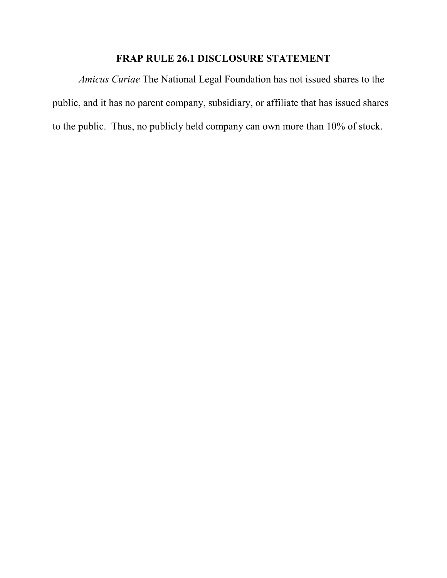### FRAP RULE 26.1 DISCLOSURE STATEMENT

Amicus Curiae The National Legal Foundation has not issued shares to the public, and it has no parent company, subsidiary, or affiliate that has issued shares to the public. Thus, no publicly held company can own more than 10% of stock.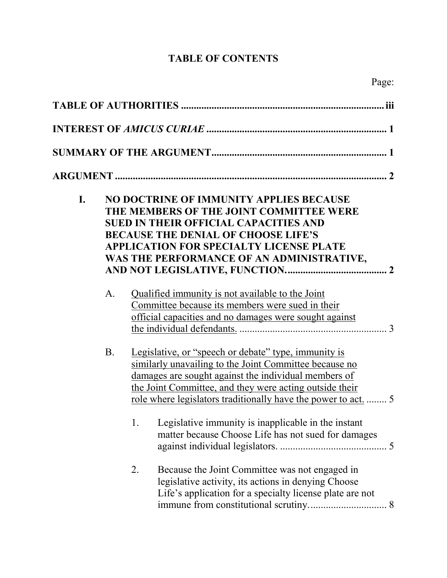# TABLE OF CONTENTS

| I. |           | NO DOCTRINE OF IMMUNITY APPLIES BECAUSE<br>THE MEMBERS OF THE JOINT COMMITTEE WERE<br><b>SUED IN THEIR OFFICIAL CAPACITIES AND</b><br><b>BECAUSE THE DENIAL OF CHOOSE LIFE'S</b><br><b>APPLICATION FOR SPECIALTY LICENSE PLATE</b><br>WAS THE PERFORMANCE OF AN ADMINISTRATIVE,                                                                                                                                      |  |  |  |
|----|-----------|----------------------------------------------------------------------------------------------------------------------------------------------------------------------------------------------------------------------------------------------------------------------------------------------------------------------------------------------------------------------------------------------------------------------|--|--|--|
|    | A.        | Qualified immunity is not available to the Joint<br>Committee because its members were sued in their<br>official capacities and no damages were sought against                                                                                                                                                                                                                                                       |  |  |  |
|    | <b>B.</b> | Legislative, or "speech or debate" type, immunity is<br>similarly unavailing to the Joint Committee because no<br>damages are sought against the individual members of<br>the Joint Committee, and they were acting outside their<br>role where legislators traditionally have the power to act.<br>Legislative immunity is inapplicable in the instant<br>1.<br>matter because Choose Life has not sued for damages |  |  |  |
|    |           | 2.<br>Because the Joint Committee was not engaged in<br>legislative activity, its actions in denying Choose<br>Life's application for a specialty license plate are not                                                                                                                                                                                                                                              |  |  |  |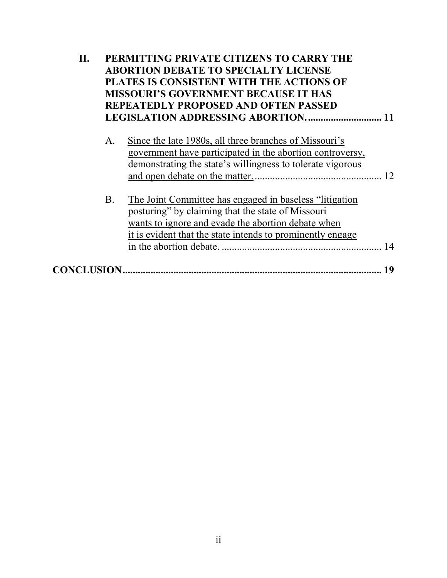| Н. | PERMITTING PRIVATE CITIZENS TO CARRY THE<br><b>ABORTION DEBATE TO SPECIALTY LICENSE</b><br>PLATES IS CONSISTENT WITH THE ACTIONS OF<br><b>MISSOURI'S GOVERNMENT BECAUSE IT HAS</b><br><b>REPEATEDLY PROPOSED AND OFTEN PASSED</b> |                                                                                                                                                                                                                                   |    |
|----|-----------------------------------------------------------------------------------------------------------------------------------------------------------------------------------------------------------------------------------|-----------------------------------------------------------------------------------------------------------------------------------------------------------------------------------------------------------------------------------|----|
|    | А.                                                                                                                                                                                                                                | Since the late 1980s, all three branches of Missouri's<br>government have participated in the abortion controversy,<br>demonstrating the state's willingness to tolerate vigorous                                                 |    |
|    | <b>B</b> .                                                                                                                                                                                                                        | The Joint Committee has engaged in baseless "litigation"<br>posturing" by claiming that the state of Missouri<br>wants to ignore and evade the abortion debate when<br>it is evident that the state intends to prominently engage | 14 |
|    |                                                                                                                                                                                                                                   |                                                                                                                                                                                                                                   | 19 |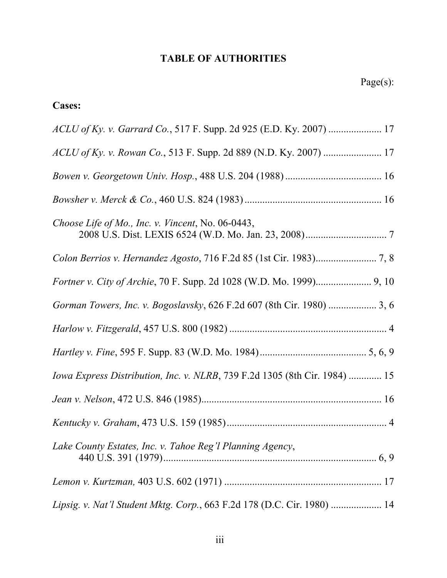### TABLE OF AUTHORITIES

### Cases:

| Choose Life of Mo., Inc. v. Vincent, No. 06-0443,                          |
|----------------------------------------------------------------------------|
|                                                                            |
|                                                                            |
| Gorman Towers, Inc. v. Bogoslavsky, 626 F.2d 607 (8th Cir. 1980)  3, 6     |
|                                                                            |
|                                                                            |
| Iowa Express Distribution, Inc. v. NLRB, 739 F.2d 1305 (8th Cir. 1984)  15 |
|                                                                            |
|                                                                            |
| Lake County Estates, Inc. v. Tahoe Reg'l Planning Agency,                  |
|                                                                            |
| Lipsig. v. Nat'l Student Mktg. Corp., 663 F.2d 178 (D.C. Cir. 1980)  14    |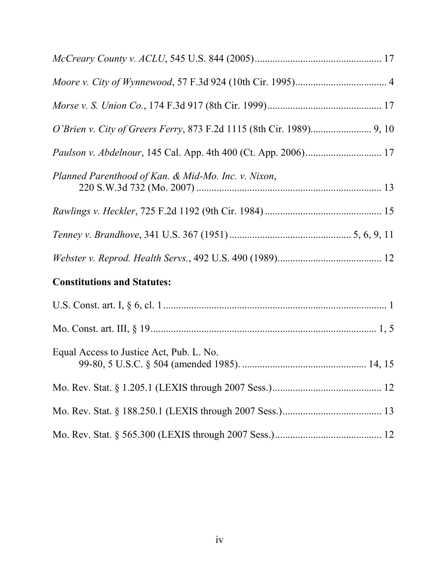| Planned Parenthood of Kan. & Mid-Mo. Inc. v. Nixon, |  |
|-----------------------------------------------------|--|
|                                                     |  |
|                                                     |  |
|                                                     |  |
| <b>Constitutions and Statutes:</b>                  |  |
|                                                     |  |
|                                                     |  |
| Equal Access to Justice Act, Pub. L. No.            |  |
|                                                     |  |
|                                                     |  |
|                                                     |  |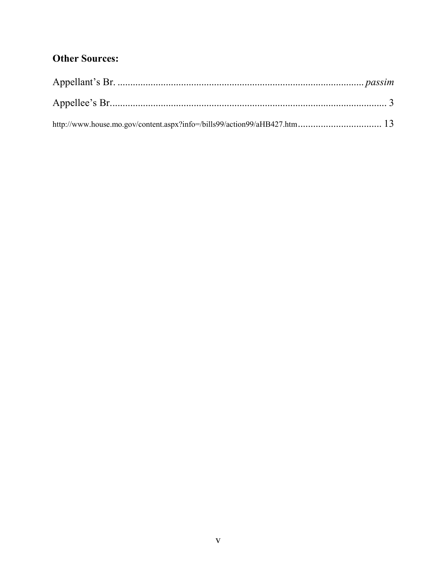### **Other Sources:**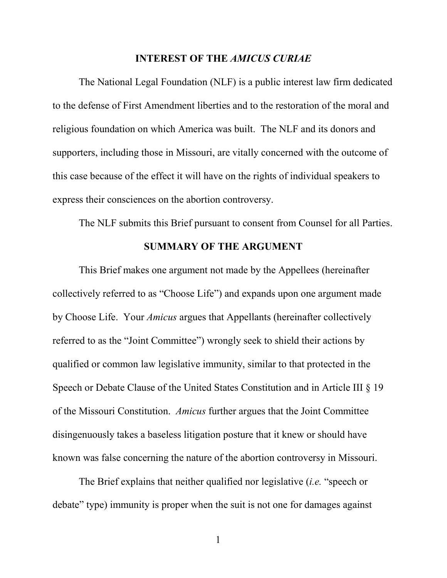#### INTEREST OF THE AMICUS CURIAE

The National Legal Foundation (NLF) is a public interest law firm dedicated to the defense of First Amendment liberties and to the restoration of the moral and religious foundation on which America was built. The NLF and its donors and supporters, including those in Missouri, are vitally concerned with the outcome of this case because of the effect it will have on the rights of individual speakers to express their consciences on the abortion controversy.

The NLF submits this Brief pursuant to consent from Counsel for all Parties.

#### SUMMARY OF THE ARGUMENT

This Brief makes one argument not made by the Appellees (hereinafter collectively referred to as "Choose Life") and expands upon one argument made by Choose Life. Your Amicus argues that Appellants (hereinafter collectively referred to as the "Joint Committee") wrongly seek to shield their actions by qualified or common law legislative immunity, similar to that protected in the Speech or Debate Clause of the United States Constitution and in Article III § 19 of the Missouri Constitution. Amicus further argues that the Joint Committee disingenuously takes a baseless litigation posture that it knew or should have known was false concerning the nature of the abortion controversy in Missouri.

The Brief explains that neither qualified nor legislative *(i.e.* "speech or debate" type) immunity is proper when the suit is not one for damages against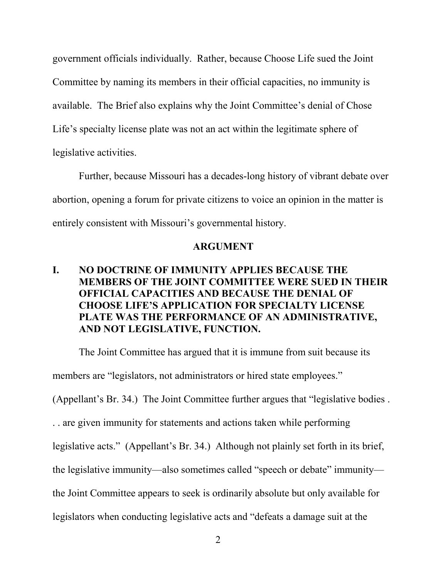government officials individually. Rather, because Choose Life sued the Joint Committee by naming its members in their official capacities, no immunity is available. The Brief also explains why the Joint Committee's denial of Chose Life's specialty license plate was not an act within the legitimate sphere of legislative activities.

Further, because Missouri has a decades-long history of vibrant debate over abortion, opening a forum for private citizens to voice an opinion in the matter is entirely consistent with Missouri's governmental history.

#### ARGUMENT

### I. NO DOCTRINE OF IMMUNITY APPLIES BECAUSE THE MEMBERS OF THE JOINT COMMITTEE WERE SUED IN THEIR OFFICIAL CAPACITIES AND BECAUSE THE DENIAL OF CHOOSE LIFE'S APPLICATION FOR SPECIALTY LICENSE PLATE WAS THE PERFORMANCE OF AN ADMINISTRATIVE, AND NOT LEGISLATIVE, FUNCTION.

The Joint Committee has argued that it is immune from suit because its

members are "legislators, not administrators or hired state employees."

(Appellant's Br. 34.) The Joint Committee further argues that "legislative bodies .

. . are given immunity for statements and actions taken while performing

legislative acts." (Appellant's Br. 34.) Although not plainly set forth in its brief,

the legislative immunity—also sometimes called "speech or debate" immunity—

the Joint Committee appears to seek is ordinarily absolute but only available for

legislators when conducting legislative acts and "defeats a damage suit at the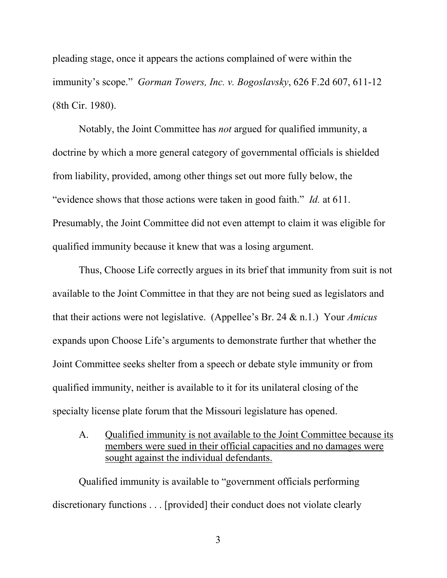pleading stage, once it appears the actions complained of were within the immunity's scope." *Gorman Towers, Inc. v. Bogoslavsky,* 626 F.2d 607, 611-12 (8th Cir. 1980).

Notably, the Joint Committee has not argued for qualified immunity, a doctrine by which a more general category of governmental officials is shielded from liability, provided, among other things set out more fully below, the "evidence shows that those actions were taken in good faith." Id. at 611. Presumably, the Joint Committee did not even attempt to claim it was eligible for qualified immunity because it knew that was a losing argument.

Thus, Choose Life correctly argues in its brief that immunity from suit is not available to the Joint Committee in that they are not being sued as legislators and that their actions were not legislative. (Appellee's Br. 24  $\&$  n.1.) Your *Amicus* expands upon Choose Life's arguments to demonstrate further that whether the Joint Committee seeks shelter from a speech or debate style immunity or from qualified immunity, neither is available to it for its unilateral closing of the specialty license plate forum that the Missouri legislature has opened.

A. Qualified immunity is not available to the Joint Committee because its members were sued in their official capacities and no damages were sought against the individual defendants.

Qualified immunity is available to "government officials performing discretionary functions . . . [provided] their conduct does not violate clearly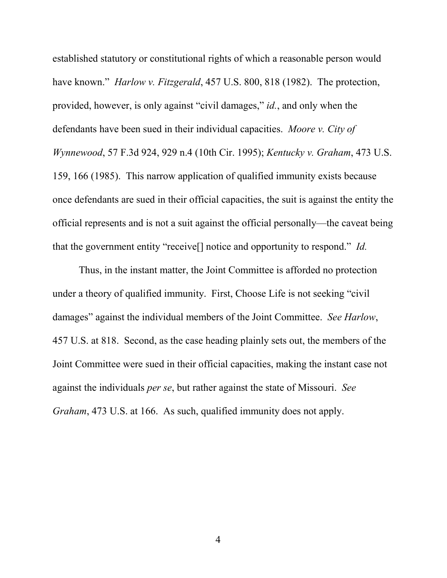established statutory or constitutional rights of which a reasonable person would have known." *Harlow v. Fitzgerald*, 457 U.S. 800, 818 (1982). The protection, provided, however, is only against "civil damages," id., and only when the defendants have been sued in their individual capacities. Moore v. City of Wynnewood, 57 F.3d 924, 929 n.4 (10th Cir. 1995); Kentucky v. Graham, 473 U.S. 159, 166 (1985). This narrow application of qualified immunity exists because once defendants are sued in their official capacities, the suit is against the entity the official represents and is not a suit against the official personally—the caveat being that the government entity "receive[] notice and opportunity to respond." Id.

Thus, in the instant matter, the Joint Committee is afforded no protection under a theory of qualified immunity. First, Choose Life is not seeking "civil damages" against the individual members of the Joint Committee. See Harlow, 457 U.S. at 818. Second, as the case heading plainly sets out, the members of the Joint Committee were sued in their official capacities, making the instant case not against the individuals per se, but rather against the state of Missouri. See Graham, 473 U.S. at 166. As such, qualified immunity does not apply.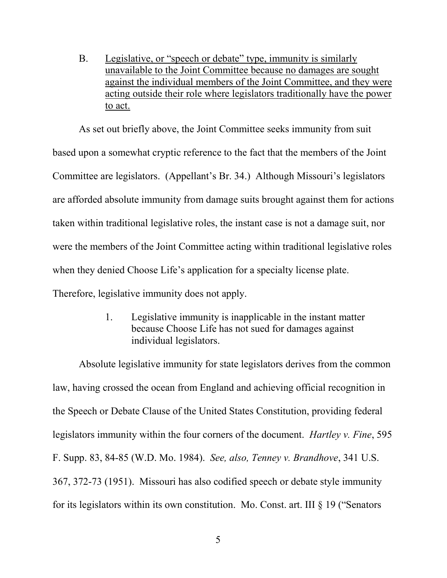B. Legislative, or "speech or debate" type, immunity is similarly unavailable to the Joint Committee because no damages are sought against the individual members of the Joint Committee, and they were acting outside their role where legislators traditionally have the power to act.

As set out briefly above, the Joint Committee seeks immunity from suit based upon a somewhat cryptic reference to the fact that the members of the Joint Committee are legislators. (Appellant's Br. 34.) Although Missouri's legislators are afforded absolute immunity from damage suits brought against them for actions taken within traditional legislative roles, the instant case is not a damage suit, nor were the members of the Joint Committee acting within traditional legislative roles when they denied Choose Life's application for a specialty license plate. Therefore, legislative immunity does not apply.

> 1. Legislative immunity is inapplicable in the instant matter because Choose Life has not sued for damages against individual legislators.

Absolute legislative immunity for state legislators derives from the common law, having crossed the ocean from England and achieving official recognition in the Speech or Debate Clause of the United States Constitution, providing federal legislators immunity within the four corners of the document. Hartley v. Fine, 595 F. Supp. 83, 84-85 (W.D. Mo. 1984). See, also, Tenney v. Brandhove, 341 U.S. 367, 372-73 (1951). Missouri has also codified speech or debate style immunity for its legislators within its own constitution. Mo. Const. art. III § 19 ("Senators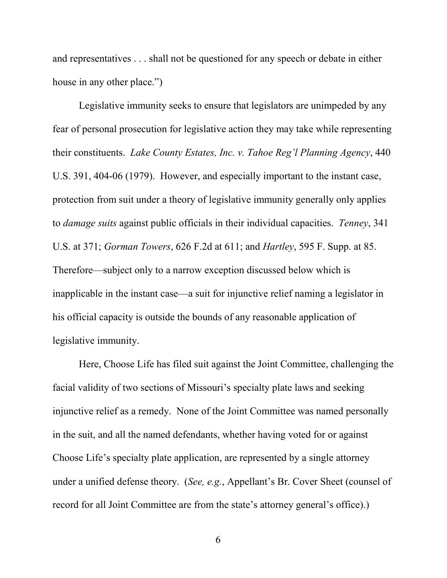and representatives . . . shall not be questioned for any speech or debate in either house in any other place.")

Legislative immunity seeks to ensure that legislators are unimpeded by any fear of personal prosecution for legislative action they may take while representing their constituents. Lake County Estates, Inc. v. Tahoe Reg'l Planning Agency, 440 U.S. 391, 404-06 (1979). However, and especially important to the instant case, protection from suit under a theory of legislative immunity generally only applies to damage suits against public officials in their individual capacities. Tenney, 341 U.S. at 371; Gorman Towers, 626 F.2d at 611; and Hartley, 595 F. Supp. at 85. Therefore—subject only to a narrow exception discussed below which is inapplicable in the instant case—a suit for injunctive relief naming a legislator in his official capacity is outside the bounds of any reasonable application of legislative immunity.

Here, Choose Life has filed suit against the Joint Committee, challenging the facial validity of two sections of Missouri's specialty plate laws and seeking injunctive relief as a remedy. None of the Joint Committee was named personally in the suit, and all the named defendants, whether having voted for or against Choose Life's specialty plate application, are represented by a single attorney under a unified defense theory. (See, e.g., Appellant's Br. Cover Sheet (counsel of record for all Joint Committee are from the state's attorney general's office).)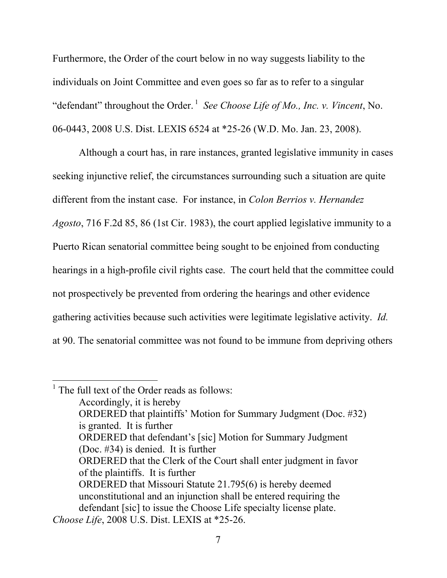Furthermore, the Order of the court below in no way suggests liability to the individuals on Joint Committee and even goes so far as to refer to a singular "defendant" throughout the Order.<sup>1</sup> See Choose Life of Mo., Inc. v. Vincent, No. 06-0443, 2008 U.S. Dist. LEXIS 6524 at \*25-26 (W.D. Mo. Jan. 23, 2008).

Although a court has, in rare instances, granted legislative immunity in cases seeking injunctive relief, the circumstances surrounding such a situation are quite different from the instant case. For instance, in *Colon Berrios v. Hernandez* Agosto, 716 F.2d 85, 86 (1st Cir. 1983), the court applied legislative immunity to a Puerto Rican senatorial committee being sought to be enjoined from conducting hearings in a high-profile civil rights case. The court held that the committee could not prospectively be prevented from ordering the hearings and other evidence gathering activities because such activities were legitimate legislative activity. Id. at 90. The senatorial committee was not found to be immune from depriving others

 $\overline{a}$ 

 $<sup>1</sup>$  The full text of the Order reads as follows:</sup> Accordingly, it is hereby ORDERED that plaintiffs' Motion for Summary Judgment (Doc. #32) is granted. It is further ORDERED that defendant's [sic] Motion for Summary Judgment (Doc. #34) is denied. It is further ORDERED that the Clerk of the Court shall enter judgment in favor of the plaintiffs. It is further ORDERED that Missouri Statute 21.795(6) is hereby deemed unconstitutional and an injunction shall be entered requiring the defendant [sic] to issue the Choose Life specialty license plate. Choose Life, 2008 U.S. Dist. LEXIS at \*25-26.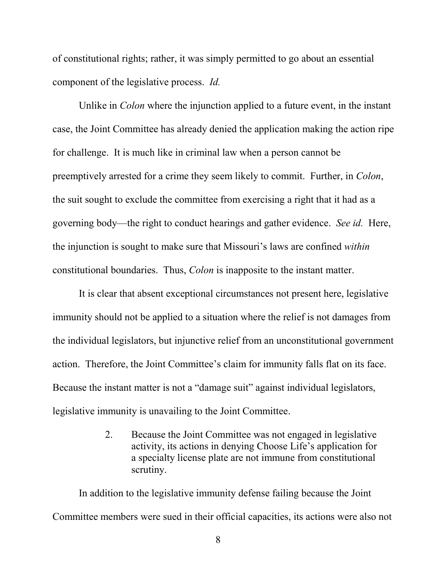of constitutional rights; rather, it was simply permitted to go about an essential component of the legislative process. Id.

Unlike in Colon where the injunction applied to a future event, in the instant case, the Joint Committee has already denied the application making the action ripe for challenge. It is much like in criminal law when a person cannot be preemptively arrested for a crime they seem likely to commit. Further, in Colon, the suit sought to exclude the committee from exercising a right that it had as a governing body—the right to conduct hearings and gather evidence. See id. Here, the injunction is sought to make sure that Missouri's laws are confined within constitutional boundaries. Thus, Colon is inapposite to the instant matter.

It is clear that absent exceptional circumstances not present here, legislative immunity should not be applied to a situation where the relief is not damages from the individual legislators, but injunctive relief from an unconstitutional government action. Therefore, the Joint Committee's claim for immunity falls flat on its face. Because the instant matter is not a "damage suit" against individual legislators, legislative immunity is unavailing to the Joint Committee.

> 2. Because the Joint Committee was not engaged in legislative activity, its actions in denying Choose Life's application for a specialty license plate are not immune from constitutional scrutiny.

In addition to the legislative immunity defense failing because the Joint Committee members were sued in their official capacities, its actions were also not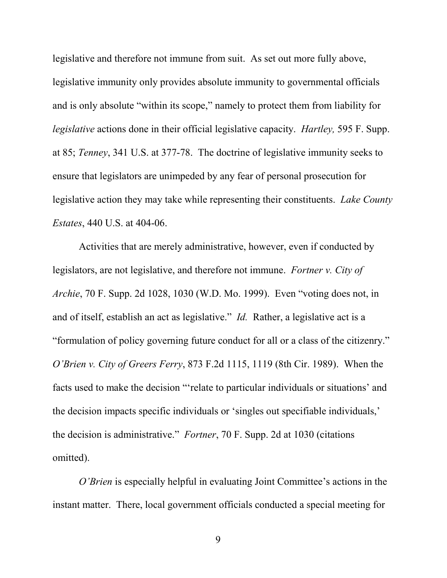legislative and therefore not immune from suit. As set out more fully above, legislative immunity only provides absolute immunity to governmental officials and is only absolute "within its scope," namely to protect them from liability for legislative actions done in their official legislative capacity. Hartley, 595 F. Supp. at 85; Tenney, 341 U.S. at 377-78. The doctrine of legislative immunity seeks to ensure that legislators are unimpeded by any fear of personal prosecution for legislative action they may take while representing their constituents. Lake County Estates, 440 U.S. at 404-06.

Activities that are merely administrative, however, even if conducted by legislators, are not legislative, and therefore not immune. Fortner v. City of Archie, 70 F. Supp. 2d 1028, 1030 (W.D. Mo. 1999). Even "voting does not, in and of itself, establish an act as legislative." Id. Rather, a legislative act is a "formulation of policy governing future conduct for all or a class of the citizenry." O'Brien v. City of Greers Ferry, 873 F.2d 1115, 1119 (8th Cir. 1989). When the facts used to make the decision "'relate to particular individuals or situations' and the decision impacts specific individuals or 'singles out specifiable individuals,' the decision is administrative." Fortner, 70 F. Supp. 2d at 1030 (citations omitted).

O'Brien is especially helpful in evaluating Joint Committee's actions in the instant matter. There, local government officials conducted a special meeting for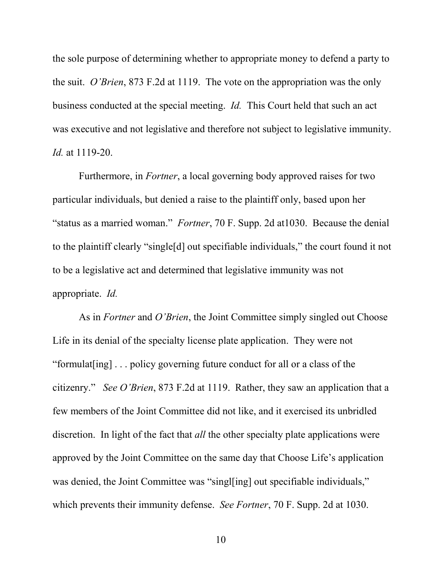the sole purpose of determining whether to appropriate money to defend a party to the suit. O'Brien, 873 F.2d at 1119. The vote on the appropriation was the only business conducted at the special meeting. Id. This Court held that such an act was executive and not legislative and therefore not subject to legislative immunity. Id. at 1119-20.

Furthermore, in Fortner, a local governing body approved raises for two particular individuals, but denied a raise to the plaintiff only, based upon her "status as a married woman." Fortner, 70 F. Supp. 2d at1030. Because the denial to the plaintiff clearly "single[d] out specifiable individuals," the court found it not to be a legislative act and determined that legislative immunity was not appropriate. Id.

As in *Fortner* and *O'Brien*, the Joint Committee simply singled out Choose Life in its denial of the specialty license plate application. They were not "formulat[ing] . . . policy governing future conduct for all or a class of the citizenry." See O'Brien, 873 F.2d at 1119. Rather, they saw an application that a few members of the Joint Committee did not like, and it exercised its unbridled discretion. In light of the fact that *all* the other specialty plate applications were approved by the Joint Committee on the same day that Choose Life's application was denied, the Joint Committee was "singl[ing] out specifiable individuals," which prevents their immunity defense. *See Fortner*, 70 F. Supp. 2d at 1030.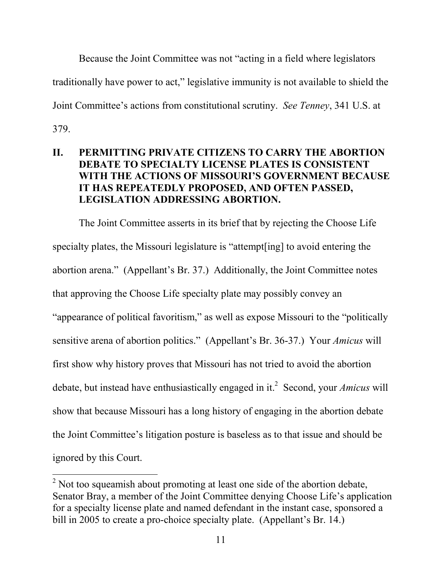Because the Joint Committee was not "acting in a field where legislators traditionally have power to act," legislative immunity is not available to shield the Joint Committee's actions from constitutional scrutiny. See Tenney, 341 U.S. at 379.

### II. PERMITTING PRIVATE CITIZENS TO CARRY THE ABORTION DEBATE TO SPECIALTY LICENSE PLATES IS CONSISTENT WITH THE ACTIONS OF MISSOURI'S GOVERNMENT BECAUSE IT HAS REPEATEDLY PROPOSED, AND OFTEN PASSED, LEGISLATION ADDRESSING ABORTION.

The Joint Committee asserts in its brief that by rejecting the Choose Life specialty plates, the Missouri legislature is "attempt[ing] to avoid entering the abortion arena." (Appellant's Br. 37.) Additionally, the Joint Committee notes that approving the Choose Life specialty plate may possibly convey an "appearance of political favoritism," as well as expose Missouri to the "politically sensitive arena of abortion politics." (Appellant's Br. 36-37.) Your Amicus will first show why history proves that Missouri has not tried to avoid the abortion debate, but instead have enthusiastically engaged in it.<sup>2</sup> Second, your *Amicus* will show that because Missouri has a long history of engaging in the abortion debate the Joint Committee's litigation posture is baseless as to that issue and should be ignored by this Court.

 $\overline{a}$ 

 $2^2$  Not too squeamish about promoting at least one side of the abortion debate, Senator Bray, a member of the Joint Committee denying Choose Life's application for a specialty license plate and named defendant in the instant case, sponsored a bill in 2005 to create a pro-choice specialty plate. (Appellant's Br. 14.)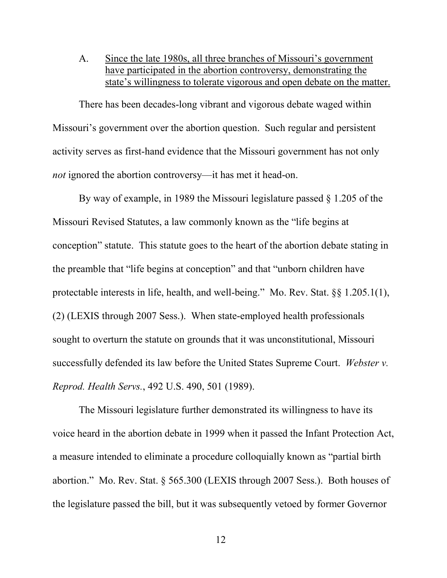A. Since the late 1980s, all three branches of Missouri's government have participated in the abortion controversy, demonstrating the state's willingness to tolerate vigorous and open debate on the matter.

There has been decades-long vibrant and vigorous debate waged within Missouri's government over the abortion question. Such regular and persistent activity serves as first-hand evidence that the Missouri government has not only not ignored the abortion controversy—it has met it head-on.

By way of example, in 1989 the Missouri legislature passed § 1.205 of the Missouri Revised Statutes, a law commonly known as the "life begins at conception" statute. This statute goes to the heart of the abortion debate stating in the preamble that "life begins at conception" and that "unborn children have protectable interests in life, health, and well-being." Mo. Rev. Stat. §§ 1.205.1(1), (2) (LEXIS through 2007 Sess.). When state-employed health professionals sought to overturn the statute on grounds that it was unconstitutional, Missouri successfully defended its law before the United States Supreme Court. Webster v. Reprod. Health Servs., 492 U.S. 490, 501 (1989).

The Missouri legislature further demonstrated its willingness to have its voice heard in the abortion debate in 1999 when it passed the Infant Protection Act, a measure intended to eliminate a procedure colloquially known as "partial birth abortion." Mo. Rev. Stat. § 565.300 (LEXIS through 2007 Sess.). Both houses of the legislature passed the bill, but it was subsequently vetoed by former Governor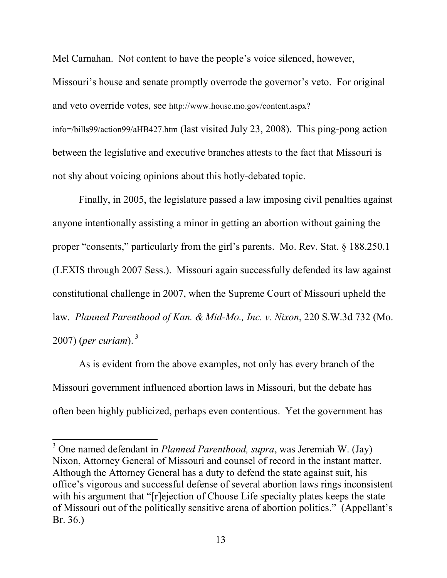Mel Carnahan. Not content to have the people's voice silenced, however, Missouri's house and senate promptly overrode the governor's veto. For original and veto override votes, see http://www.house.mo.gov/content.aspx? info=/bills99/action99/aHB427.htm (last visited July 23, 2008). This ping-pong action between the legislative and executive branches attests to the fact that Missouri is not shy about voicing opinions about this hotly-debated topic.

Finally, in 2005, the legislature passed a law imposing civil penalties against anyone intentionally assisting a minor in getting an abortion without gaining the proper "consents," particularly from the girl's parents. Mo. Rev. Stat. § 188.250.1 (LEXIS through 2007 Sess.). Missouri again successfully defended its law against constitutional challenge in 2007, when the Supreme Court of Missouri upheld the law. Planned Parenthood of Kan. & Mid-Mo., Inc. v. Nixon, 220 S.W.3d 732 (Mo. 2007) (per curiam). $3$ 

As is evident from the above examples, not only has every branch of the Missouri government influenced abortion laws in Missouri, but the debate has often been highly publicized, perhaps even contentious. Yet the government has

 $\ddot{\phantom{a}}$ 

<sup>&</sup>lt;sup>3</sup> One named defendant in *Planned Parenthood, supra*, was Jeremiah W. (Jay) Nixon, Attorney General of Missouri and counsel of record in the instant matter. Although the Attorney General has a duty to defend the state against suit, his office's vigorous and successful defense of several abortion laws rings inconsistent with his argument that "[r]ejection of Choose Life specialty plates keeps the state of Missouri out of the politically sensitive arena of abortion politics." (Appellant's Br. 36.)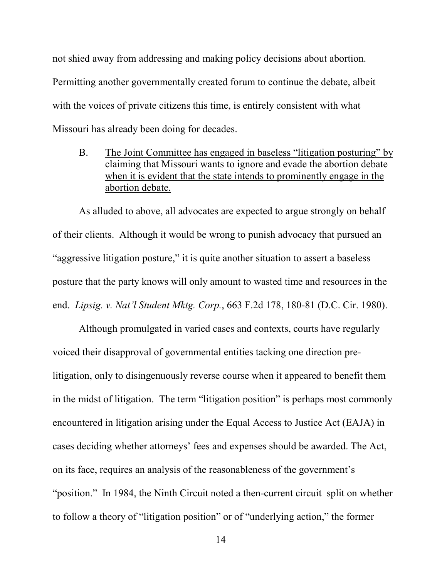not shied away from addressing and making policy decisions about abortion. Permitting another governmentally created forum to continue the debate, albeit with the voices of private citizens this time, is entirely consistent with what Missouri has already been doing for decades.

B. The Joint Committee has engaged in baseless "litigation posturing" by claiming that Missouri wants to ignore and evade the abortion debate when it is evident that the state intends to prominently engage in the abortion debate.

As alluded to above, all advocates are expected to argue strongly on behalf of their clients. Although it would be wrong to punish advocacy that pursued an "aggressive litigation posture," it is quite another situation to assert a baseless posture that the party knows will only amount to wasted time and resources in the end. Lipsig. v. Nat'l Student Mktg. Corp., 663 F.2d 178, 180-81 (D.C. Cir. 1980).

Although promulgated in varied cases and contexts, courts have regularly voiced their disapproval of governmental entities tacking one direction prelitigation, only to disingenuously reverse course when it appeared to benefit them in the midst of litigation. The term "litigation position" is perhaps most commonly encountered in litigation arising under the Equal Access to Justice Act (EAJA) in cases deciding whether attorneys' fees and expenses should be awarded. The Act, on its face, requires an analysis of the reasonableness of the government's "position." In 1984, the Ninth Circuit noted a then-current circuit split on whether to follow a theory of "litigation position" or of "underlying action," the former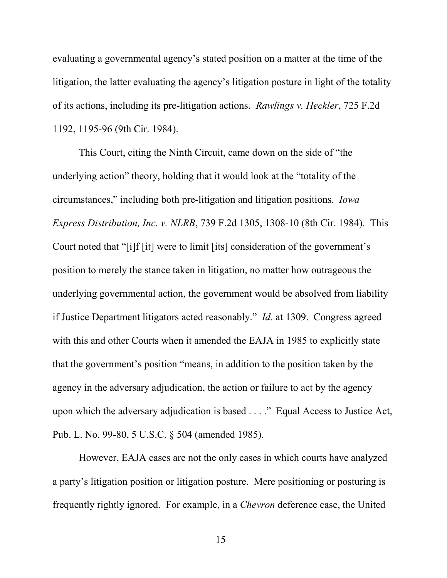evaluating a governmental agency's stated position on a matter at the time of the litigation, the latter evaluating the agency's litigation posture in light of the totality of its actions, including its pre-litigation actions. Rawlings v. Heckler, 725 F.2d 1192, 1195-96 (9th Cir. 1984).

This Court, citing the Ninth Circuit, came down on the side of "the underlying action" theory, holding that it would look at the "totality of the circumstances," including both pre-litigation and litigation positions. Iowa Express Distribution, Inc. v. NLRB, 739 F.2d 1305, 1308-10 (8th Cir. 1984). This Court noted that "[i]f [it] were to limit [its] consideration of the government's position to merely the stance taken in litigation, no matter how outrageous the underlying governmental action, the government would be absolved from liability if Justice Department litigators acted reasonably." Id. at 1309. Congress agreed with this and other Courts when it amended the EAJA in 1985 to explicitly state that the government's position "means, in addition to the position taken by the agency in the adversary adjudication, the action or failure to act by the agency upon which the adversary adjudication is based . . . ." Equal Access to Justice Act, Pub. L. No. 99-80, 5 U.S.C. § 504 (amended 1985).

However, EAJA cases are not the only cases in which courts have analyzed a party's litigation position or litigation posture. Mere positioning or posturing is frequently rightly ignored. For example, in a Chevron deference case, the United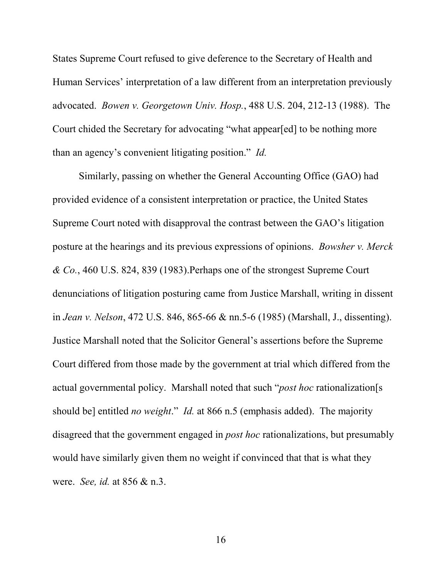States Supreme Court refused to give deference to the Secretary of Health and Human Services' interpretation of a law different from an interpretation previously advocated. Bowen v. Georgetown Univ. Hosp., 488 U.S. 204, 212-13 (1988). The Court chided the Secretary for advocating "what appear[ed] to be nothing more than an agency's convenient litigating position." Id.

Similarly, passing on whether the General Accounting Office (GAO) had provided evidence of a consistent interpretation or practice, the United States Supreme Court noted with disapproval the contrast between the GAO's litigation posture at the hearings and its previous expressions of opinions. Bowsher v. Merck & Co., 460 U.S. 824, 839 (1983).Perhaps one of the strongest Supreme Court denunciations of litigation posturing came from Justice Marshall, writing in dissent in Jean v. Nelson, 472 U.S. 846, 865-66 & nn.5-6 (1985) (Marshall, J., dissenting). Justice Marshall noted that the Solicitor General's assertions before the Supreme Court differed from those made by the government at trial which differed from the actual governmental policy. Marshall noted that such "*post hoc* rationalization[s should be] entitled *no weight.*" *Id.* at 866 n.5 (emphasis added). The majority disagreed that the government engaged in post hoc rationalizations, but presumably would have similarly given them no weight if convinced that that is what they were. See, id. at 856 & n.3.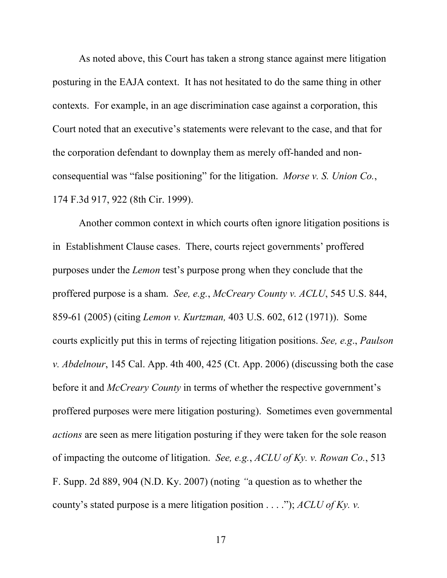As noted above, this Court has taken a strong stance against mere litigation posturing in the EAJA context. It has not hesitated to do the same thing in other contexts. For example, in an age discrimination case against a corporation, this Court noted that an executive's statements were relevant to the case, and that for the corporation defendant to downplay them as merely off-handed and nonconsequential was "false positioning" for the litigation. Morse v. S. Union Co., 174 F.3d 917, 922 (8th Cir. 1999).

Another common context in which courts often ignore litigation positions is in Establishment Clause cases. There, courts reject governments' proffered purposes under the Lemon test's purpose prong when they conclude that the proffered purpose is a sham. See, e.g., McCreary County v. ACLU, 545 U.S. 844, 859-61 (2005) (citing Lemon v. Kurtzman, 403 U.S. 602, 612 (1971)). Some courts explicitly put this in terms of rejecting litigation positions. See, e.g., Paulson v. Abdelnour, 145 Cal. App. 4th 400, 425 (Ct. App. 2006) (discussing both the case before it and *McCreary County* in terms of whether the respective government's proffered purposes were mere litigation posturing). Sometimes even governmental actions are seen as mere litigation posturing if they were taken for the sole reason of impacting the outcome of litigation. See, e.g., ACLU of Ky. v. Rowan Co., 513 F. Supp. 2d 889, 904 (N.D. Ky. 2007) (noting "a question as to whether the county's stated purpose is a mere litigation position  $\dots$ "); ACLU of Ky. v.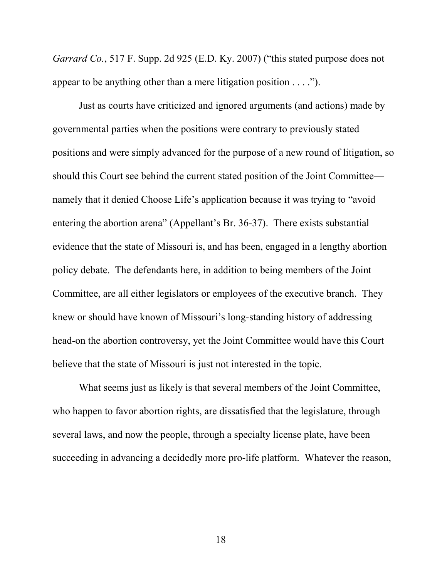Garrard Co., 517 F. Supp. 2d 925 (E.D. Ky. 2007) ("this stated purpose does not appear to be anything other than a mere litigation position . . . .").

Just as courts have criticized and ignored arguments (and actions) made by governmental parties when the positions were contrary to previously stated positions and were simply advanced for the purpose of a new round of litigation, so should this Court see behind the current stated position of the Joint Committee namely that it denied Choose Life's application because it was trying to "avoid entering the abortion arena" (Appellant's Br. 36-37). There exists substantial evidence that the state of Missouri is, and has been, engaged in a lengthy abortion policy debate. The defendants here, in addition to being members of the Joint Committee, are all either legislators or employees of the executive branch. They knew or should have known of Missouri's long-standing history of addressing head-on the abortion controversy, yet the Joint Committee would have this Court believe that the state of Missouri is just not interested in the topic.

What seems just as likely is that several members of the Joint Committee, who happen to favor abortion rights, are dissatisfied that the legislature, through several laws, and now the people, through a specialty license plate, have been succeeding in advancing a decidedly more pro-life platform. Whatever the reason,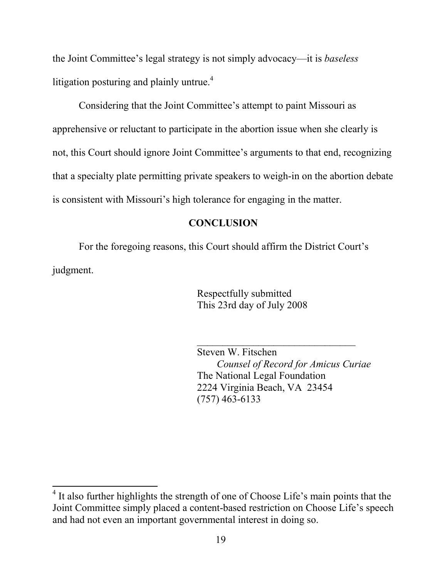the Joint Committee's legal strategy is not simply advocacy—it is baseless litigation posturing and plainly untrue.<sup>4</sup>

Considering that the Joint Committee's attempt to paint Missouri as apprehensive or reluctant to participate in the abortion issue when she clearly is not, this Court should ignore Joint Committee's arguments to that end, recognizing that a specialty plate permitting private speakers to weigh-in on the abortion debate is consistent with Missouri's high tolerance for engaging in the matter.

#### **CONCLUSION**

For the foregoing reasons, this Court should affirm the District Court's judgment.

> Respectfully submitted This 23rd day of July 2008

Steven W. Fitschen Counsel of Record for Amicus Curiae The National Legal Foundation 2224 Virginia Beach, VA 23454 (757) 463-6133

\_\_\_\_\_\_\_\_\_\_\_\_\_\_\_\_\_\_\_\_\_\_\_\_\_\_\_\_\_\_\_

 $\overline{a}$ 

<sup>&</sup>lt;sup>4</sup> It also further highlights the strength of one of Choose Life's main points that the Joint Committee simply placed a content-based restriction on Choose Life's speech and had not even an important governmental interest in doing so.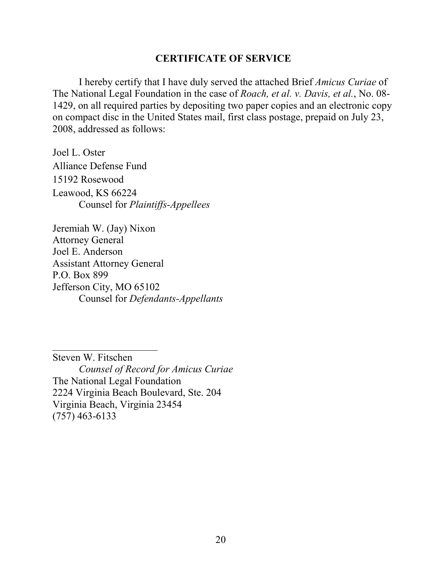#### CERTIFICATE OF SERVICE

I hereby certify that I have duly served the attached Brief Amicus Curiae of The National Legal Foundation in the case of Roach, et al. v. Davis, et al., No. 08- 1429, on all required parties by depositing two paper copies and an electronic copy on compact disc in the United States mail, first class postage, prepaid on July 23, 2008, addressed as follows:

Joel L. Oster Alliance Defense Fund 15192 Rosewood Leawood, KS 66224 Counsel for Plaintiffs-Appellees

Jeremiah W. (Jay) Nixon Attorney General Joel E. Anderson Assistant Attorney General P.O. Box 899 Jefferson City, MO 65102 Counsel for Defendants-Appellants

Steven W. Fitschen Counsel of Record for Amicus Curiae The National Legal Foundation 2224 Virginia Beach Boulevard, Ste. 204 Virginia Beach, Virginia 23454 (757) 463-6133

 $\overline{\phantom{a}}$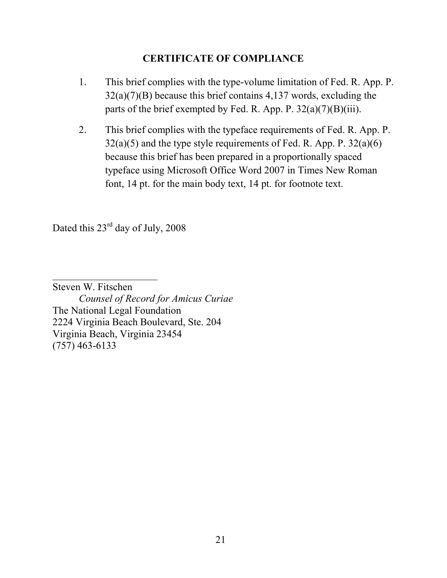### CERTIFICATE OF COMPLIANCE

- 1. This brief complies with the type-volume limitation of Fed. R. App. P. 32(a)(7)(B) because this brief contains 4,137 words, excluding the parts of the brief exempted by Fed. R. App. P.  $32(a)(7)(B)(iii)$ .
- 2. This brief complies with the typeface requirements of Fed. R. App. P.  $32(a)(5)$  and the type style requirements of Fed. R. App. P.  $32(a)(6)$ because this brief has been prepared in a proportionally spaced typeface using Microsoft Office Word 2007 in Times New Roman font, 14 pt. for the main body text, 14 pt. for footnote text.

Dated this  $23^{rd}$  day of July, 2008

Steven W. Fitschen Counsel of Record for Amicus Curiae The National Legal Foundation 2224 Virginia Beach Boulevard, Ste. 204 Virginia Beach, Virginia 23454 (757) 463-6133